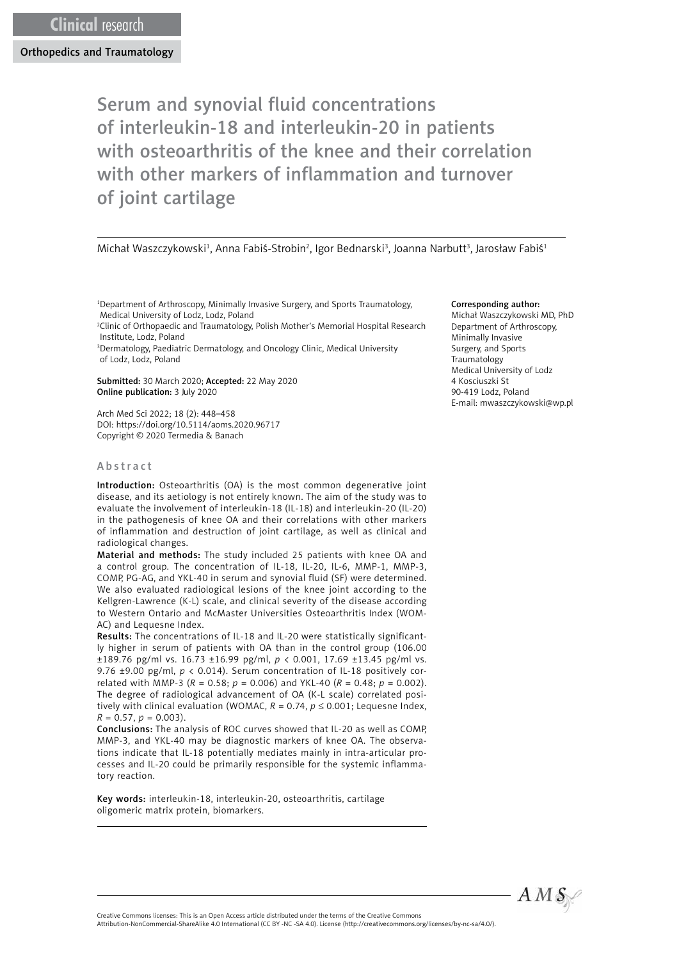# Serum and synovial fluid concentrations of interleukin-18 and interleukin-20 in patients with osteoarthritis of the knee and their correlation with other markers of inflammation and turnover of joint cartilage

#### Michał Waszczykowski<sup>1</sup>, Anna Fabiś-Strobin<sup>2</sup>, Igor Bednarski<sup>3</sup>, Joanna Narbutt<sup>3</sup>, Jarosław Fabiś<sup>1</sup>

1 Department of Arthroscopy, Minimally Invasive Surgery, and Sports Traumatology, Medical University of Lodz, Lodz, Poland

2 Clinic of Orthopaedic and Traumatology, Polish Mother's Memorial Hospital Research Institute, Lodz, Poland

3 Dermatology, Paediatric Dermatology, and Oncology Clinic, Medical University of Lodz, Lodz, Poland

Submitted: 30 March 2020; Accepted: 22 May 2020 Online publication: 3 July 2020

Arch Med Sci 2022; 18 (2): 448–458 DOI: https://doi.org/10.5114/aoms.2020.96717 Copyright © 2020 Termedia & Banach

#### Abstract

Introduction: Osteoarthritis (OA) is the most common degenerative joint disease, and its aetiology is not entirely known. The aim of the study was to evaluate the involvement of interleukin-18 (IL-18) and interleukin-20 (IL-20) in the pathogenesis of knee OA and their correlations with other markers of inflammation and destruction of joint cartilage, as well as clinical and radiological changes.

Material and methods: The study included 25 patients with knee OA and a control group. The concentration of IL-18, IL-20, IL-6, MMP-1, MMP-3, COMP, PG-AG, and YKL-40 in serum and synovial fluid (SF) were determined. We also evaluated radiological lesions of the knee joint according to the Kellgren-Lawrence (K-L) scale, and clinical severity of the disease according to Western Ontario and McMaster Universities Osteoarthritis Index (WOM-AC) and Lequesne Index.

Results: The concentrations of IL-18 and IL-20 were statistically significantly higher in serum of patients with OA than in the control group (106.00 ±189.76 pg/ml vs. 16.73 ±16.99 pg/ml, *p* < 0.001, 17.69 ±13.45 pg/ml vs. 9.76 ±9.00 pg/ml, *p* < 0.014). Serum concentration of IL-18 positively correlated with MMP-3 ( $R = 0.58$ ;  $p = 0.006$ ) and YKL-40 ( $R = 0.48$ ;  $p = 0.002$ ). The degree of radiological advancement of OA (K-L scale) correlated positively with clinical evaluation (WOMAC,  $R = 0.74$ ,  $p \le 0.001$ ; Lequesne Index,  $R = 0.57, p = 0.003$ .

Conclusions: The analysis of ROC curves showed that IL-20 as well as COMP, MMP-3, and YKL-40 may be diagnostic markers of knee OA. The observations indicate that IL-18 potentially mediates mainly in intra-articular processes and IL-20 could be primarily responsible for the systemic inflammatory reaction.

Key words: interleukin-18, interleukin-20, osteoarthritis, cartilage oligomeric matrix protein, biomarkers.

#### Corresponding author:

Michał Waszczykowski MD, PhD Department of Arthroscopy, Minimally Invasive Surgery, and Sports Traumatology Medical University of Lodz 4 Kosciuszki St 90-419 Lodz, Poland E-mail: [mwaszczykowski@wp.pl](mailto:mwaszczykowski@wp.pl)



Creative Commons licenses: This is an Open Access article distributed under the terms of the Creative Commons Attribution-NonCommercial-ShareAlike 4.0 International (CC BY -NC -SA 4.0). License (http://creativecommons.org/licenses/by-nc-sa/4.0/).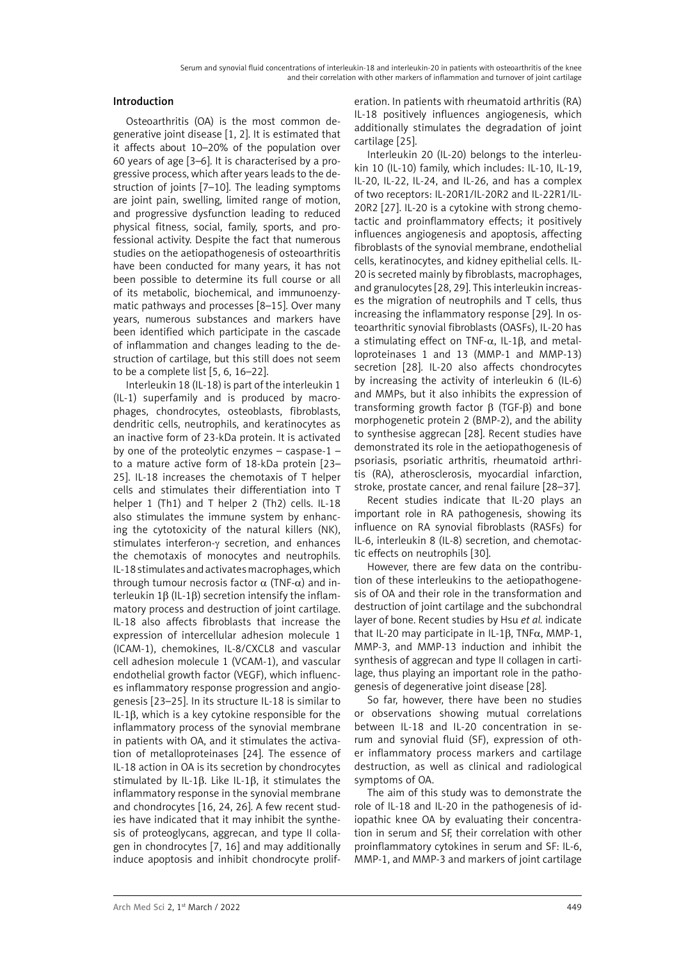## Introduction

Osteoarthritis (OA) is the most common degenerative joint disease [1, 2]. It is estimated that it affects about 10–20% of the population over 60 years of age [3–6]. It is characterised by a progressive process, which after years leads to the destruction of joints [7–10]. The leading symptoms are joint pain, swelling, limited range of motion, and progressive dysfunction leading to reduced physical fitness, social, family, sports, and professional activity. Despite the fact that numerous studies on the aetiopathogenesis of osteoarthritis have been conducted for many years, it has not been possible to determine its full course or all of its metabolic, biochemical, and immunoenzymatic pathways and processes [8–15]. Over many years, numerous substances and markers have been identified which participate in the cascade of inflammation and changes leading to the destruction of cartilage, but this still does not seem to be a complete list [5, 6, 16–22].

Interleukin 18 (IL-18) is part of the interleukin 1 (IL-1) superfamily and is produced by macrophages, chondrocytes, osteoblasts, fibroblasts, dendritic cells, neutrophils, and keratinocytes as an inactive form of 23-kDa protein. It is activated by one of the proteolytic enzymes – caspase-1 – to a mature active form of 18-kDa protein [23– 25]. IL-18 increases the chemotaxis of T helper cells and stimulates their differentiation into T helper 1 (Th1) and T helper 2 (Th2) cells. IL-18 also stimulates the immune system by enhancing the cytotoxicity of the natural killers (NK), stimulates interferon-γ secretion, and enhances the chemotaxis of monocytes and neutrophils. IL-18 stimulates and activates macrophages, which through tumour necrosis factor  $\alpha$  (TNF- $\alpha$ ) and interleukin 1β (IL-1β) secretion intensify the inflammatory process and destruction of joint cartilage. IL-18 also affects fibroblasts that increase the expression of intercellular adhesion molecule 1 (ICAM-1), chemokines, IL-8/CXCL8 and vascular cell adhesion molecule 1 (VCAM-1), and vascular endothelial growth factor (VEGF), which influences inflammatory response progression and angiogenesis [23–25]. In its structure IL-18 is similar to IL-1β, which is a key cytokine responsible for the inflammatory process of the synovial membrane in patients with OA, and it stimulates the activation of metalloproteinases [24]. The essence of IL-18 action in OA is its secretion by chondrocytes stimulated by IL-1β. Like IL-1β, it stimulates the inflammatory response in the synovial membrane and chondrocytes [16, 24, 26]. A few recent studies have indicated that it may inhibit the synthesis of proteoglycans, aggrecan, and type II collagen in chondrocytes [7, 16] and may additionally induce apoptosis and inhibit chondrocyte prolif-

eration. In patients with rheumatoid arthritis (RA) IL-18 positively influences angiogenesis, which additionally stimulates the degradation of joint cartilage [25].

Interleukin 20 (IL-20) belongs to the interleukin 10 (IL-10) family, which includes: IL-10, IL-19, IL-20, IL-22, IL-24, and IL-26, and has a complex of two receptors: IL-20R1/IL-20R2 and IL-22R1/IL-20R2 [27]. IL-20 is a cytokine with strong chemotactic and proinflammatory effects; it positively influences angiogenesis and apoptosis, affecting fibroblasts of the synovial membrane, endothelial cells, keratinocytes, and kidney epithelial cells. IL-20 is secreted mainly by fibroblasts, macrophages, and granulocytes [28, 29]. This interleukin increases the migration of neutrophils and T cells, thus increasing the inflammatory response [29]. In osteoarthritic synovial fibroblasts (OASFs), IL-20 has a stimulating effect on TNF- $\alpha$ , IL-1β, and metalloproteinases 1 and 13 (MMP-1 and MMP-13) secretion [28]. IL-20 also affects chondrocytes by increasing the activity of interleukin 6 (IL-6) and MMPs, but it also inhibits the expression of transforming growth factor β (TGF-β) and bone morphogenetic protein 2 (BMP-2), and the ability to synthesise aggrecan [28]. Recent studies have demonstrated its role in the aetiopathogenesis of psoriasis, psoriatic arthritis, rheumatoid arthritis (RA), atherosclerosis, myocardial infarction, stroke, prostate cancer, and renal failure [28–37].

Recent studies indicate that IL-20 plays an important role in RA pathogenesis, showing its influence on RA synovial fibroblasts (RASFs) for IL-6, interleukin 8 (IL-8) secretion, and chemotactic effects on neutrophils [30].

However, there are few data on the contribution of these interleukins to the aetiopathogenesis of OA and their role in the transformation and destruction of joint cartilage and the subchondral layer of bone. Recent studies by Hsu *et al.* indicate that IL-20 may participate in IL-1β, TNFα, MMP-1, MMP-3, and MMP-13 induction and inhibit the synthesis of aggrecan and type II collagen in cartilage, thus playing an important role in the pathogenesis of degenerative joint disease [28].

So far, however, there have been no studies or observations showing mutual correlations between IL-18 and IL-20 concentration in serum and synovial fluid (SF), expression of other inflammatory process markers and cartilage destruction, as well as clinical and radiological symptoms of OA.

The aim of this study was to demonstrate the role of IL-18 and IL-20 in the pathogenesis of idiopathic knee OA by evaluating their concentration in serum and SF, their correlation with other proinflammatory cytokines in serum and SF: IL-6, MMP-1, and MMP-3 and markers of joint cartilage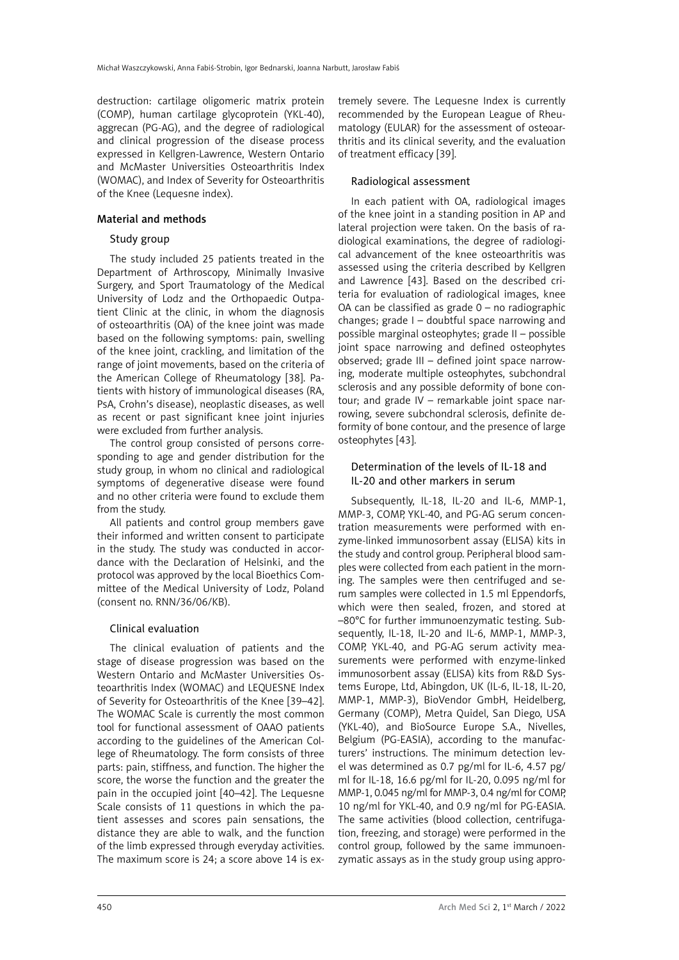destruction: cartilage oligomeric matrix protein (COMP), human cartilage glycoprotein (YKL-40), aggrecan (PG-AG), and the degree of radiological and clinical progression of the disease process expressed in Kellgren-Lawrence, Western Ontario and McMaster Universities Osteoarthritis Index (WOMAC), and Index of Severity for Osteoarthritis of the Knee (Lequesne index).

## Material and methods

## Study group

The study included 25 patients treated in the Department of Arthroscopy, Minimally Invasive Surgery, and Sport Traumatology of the Medical University of Lodz and the Orthopaedic Outpatient Clinic at the clinic, in whom the diagnosis of osteoarthritis (OA) of the knee joint was made based on the following symptoms: pain, swelling of the knee joint, crackling, and limitation of the range of joint movements, based on the criteria of the American College of Rheumatology [38]. Patients with history of immunological diseases (RA, PsA, Crohn's disease), neoplastic diseases, as well as recent or past significant knee joint injuries were excluded from further analysis.

The control group consisted of persons corresponding to age and gender distribution for the study group, in whom no clinical and radiological symptoms of degenerative disease were found and no other criteria were found to exclude them from the study.

All patients and control group members gave their informed and written consent to participate in the study. The study was conducted in accordance with the Declaration of Helsinki, and the protocol was approved by the local Bioethics Committee of the Medical University of Lodz, Poland (consent no. RNN/36/06/KB).

## Clinical evaluation

The clinical evaluation of patients and the stage of disease progression was based on the Western Ontario and McMaster Universities Osteoarthritis Index (WOMAC) and LEQUESNE Index of Severity for Osteoarthritis of the Knee [39–42]. The WOMAC Scale is currently the most common tool for functional assessment of OAAO patients according to the guidelines of the American College of Rheumatology. The form consists of three parts: pain, stiffness, and function. The higher the score, the worse the function and the greater the pain in the occupied joint [40–42]. The Lequesne Scale consists of 11 questions in which the patient assesses and scores pain sensations, the distance they are able to walk, and the function of the limb expressed through everyday activities. The maximum score is 24; a score above 14 is extremely severe. The Lequesne Index is currently recommended by the European League of Rheumatology (EULAR) for the assessment of osteoarthritis and its clinical severity, and the evaluation of treatment efficacy [39].

## Radiological assessment

In each patient with OA, radiological images of the knee joint in a standing position in AP and lateral projection were taken. On the basis of radiological examinations, the degree of radiological advancement of the knee osteoarthritis was assessed using the criteria described by Kellgren and Lawrence [43]. Based on the described criteria for evaluation of radiological images, knee OA can be classified as grade 0 – no radiographic changes; grade I – doubtful space narrowing and possible marginal osteophytes; grade II – possible joint space narrowing and defined osteophytes observed; grade III – defined joint space narrowing, moderate multiple osteophytes, subchondral sclerosis and any possible deformity of bone contour; and grade IV – remarkable joint space narrowing, severe subchondral sclerosis, definite deformity of bone contour, and the presence of large osteophytes [43].

# Determination of the levels of IL-18 and IL-20 and other markers in serum

Subsequently, IL-18, IL-20 and IL-6, MMP-1, MMP-3, COMP, YKL-40, and PG-AG serum concentration measurements were performed with enzyme-linked immunosorbent assay (ELISA) kits in the study and control group. Peripheral blood samples were collected from each patient in the morning. The samples were then centrifuged and serum samples were collected in 1.5 ml Eppendorfs, which were then sealed, frozen, and stored at –80°C for further immunoenzymatic testing. Subsequently, IL-18, IL-20 and IL-6, MMP-1, MMP-3, COMP, YKL-40, and PG-AG serum activity measurements were performed with enzyme-linked immunosorbent assay (ELISA) kits from R&D Systems Europe, Ltd, Abingdon, UK (IL-6, IL-18, IL-20, MMP-1, MMP-3), BioVendor GmbH, Heidelberg, Germany (COMP), Metra Quidel, San Diego, USA (YKL-40), and BioSource Europe S.A., Nivelles, Belgium (PG-EASIA), according to the manufacturers' instructions. The minimum detection level was determined as 0.7 pg/ml for IL-6, 4.57 pg/ ml for IL-18, 16.6 pg/ml for IL-20, 0.095 ng/ml for MMP-1, 0.045 ng/ml for MMP-3, 0.4 ng/ml for COMP, 10 ng/ml for YKL-40, and 0.9 ng/ml for PG-EASIA. The same activities (blood collection, centrifugation, freezing, and storage) were performed in the control group, followed by the same immunoenzymatic assays as in the study group using appro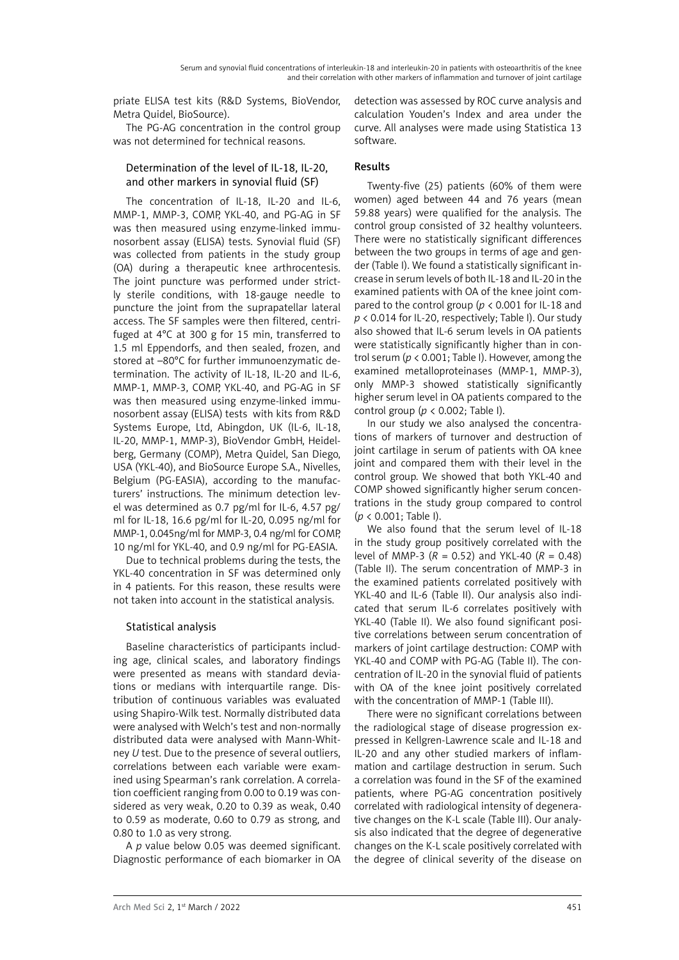priate ELISA test kits (R&D Systems, BioVendor, Metra Quidel, BioSource).

The PG-AG concentration in the control group was not determined for technical reasons.

# Determination of the level of IL-18, IL-20, and other markers in synovial fluid (SF)

The concentration of IL-18, IL-20 and IL-6, MMP-1, MMP-3, COMP, YKL-40, and PG-AG in SF was then measured using enzyme-linked immunosorbent assay (ELISA) tests. Synovial fluid (SF) was collected from patients in the study group (OA) during a therapeutic knee arthrocentesis. The joint puncture was performed under strictly sterile conditions, with 18-gauge needle to puncture the joint from the suprapatellar lateral access. The SF samples were then filtered, centrifuged at 4°C at 300 g for 15 min, transferred to 1.5 ml Eppendorfs, and then sealed, frozen, and stored at –80°C for further immunoenzymatic determination. The activity of IL-18, IL-20 and IL-6, MMP-1, MMP-3, COMP, YKL-40, and PG-AG in SF was then measured using enzyme-linked immunosorbent assay (ELISA) tests with kits from R&D Systems Europe, Ltd, Abingdon, UK (IL-6, IL-18, IL-20, MMP-1, MMP-3), BioVendor GmbH, Heidelberg, Germany (COMP), Metra Quidel, San Diego, USA (YKL-40), and BioSource Europe S.A., Nivelles, Belgium (PG-EASIA), according to the manufacturers' instructions. The minimum detection level was determined as 0.7 pg/ml for IL-6, 4.57 pg/ ml for IL-18, 16.6 pg/ml for IL-20, 0.095 ng/ml for MMP-1, 0.045ng/ml for MMP-3, 0.4 ng/ml for COMP, 10 ng/ml for YKL-40, and 0.9 ng/ml for PG-EASIA.

Due to technical problems during the tests, the YKL-40 concentration in SF was determined only in 4 patients. For this reason, these results were not taken into account in the statistical analysis.

# Statistical analysis

Baseline characteristics of participants including age, clinical scales, and laboratory findings were presented as means with standard deviations or medians with interquartile range. Distribution of continuous variables was evaluated using Shapiro-Wilk test. Normally distributed data were analysed with Welch's test and non-normally distributed data were analysed with Mann-Whitney *U* test. Due to the presence of several outliers, correlations between each variable were examined using Spearman's rank correlation. A correlation coefficient ranging from 0.00 to 0.19 was considered as very weak, 0.20 to 0.39 as weak, 0.40 to 0.59 as moderate, 0.60 to 0.79 as strong, and 0.80 to 1.0 as very strong.

A *p* value below 0.05 was deemed significant. Diagnostic performance of each biomarker in OA detection was assessed by ROC curve analysis and calculation Youden's Index and area under the curve. All analyses were made using Statistica 13 software.

# Results

Twenty-five (25) patients (60% of them were women) aged between 44 and 76 years (mean 59.88 years) were qualified for the analysis. The control group consisted of 32 healthy volunteers. There were no statistically significant differences between the two groups in terms of age and gender (Table I). We found a statistically significant increase in serum levels of both IL-18 and IL-20 in the examined patients with OA of the knee joint compared to the control group (*p* < 0.001 for IL-18 and *p* < 0.014 for IL-20, respectively; Table I). Our study also showed that IL-6 serum levels in OA patients were statistically significantly higher than in control serum (*p* < 0.001; Table I). However, among the examined metalloproteinases (MMP-1, MMP-3), only MMP-3 showed statistically significantly higher serum level in OA patients compared to the control group (*p* < 0.002; Table I).

In our study we also analysed the concentrations of markers of turnover and destruction of joint cartilage in serum of patients with OA knee joint and compared them with their level in the control group. We showed that both YKL-40 and COMP showed significantly higher serum concentrations in the study group compared to control (*p* < 0.001; Table I).

We also found that the serum level of IL-18 in the study group positively correlated with the level of MMP-3 ( $R = 0.52$ ) and YKL-40 ( $R = 0.48$ ) (Table II). The serum concentration of MMP-3 in the examined patients correlated positively with YKL-40 and IL-6 (Table II). Our analysis also indicated that serum IL-6 correlates positively with YKL-40 (Table II). We also found significant positive correlations between serum concentration of markers of joint cartilage destruction: COMP with YKL-40 and COMP with PG-AG (Table II). The concentration of IL-20 in the synovial fluid of patients with OA of the knee joint positively correlated with the concentration of MMP-1 (Table III).

There were no significant correlations between the radiological stage of disease progression expressed in Kellgren-Lawrence scale and IL-18 and IL-20 and any other studied markers of inflammation and cartilage destruction in serum. Such a correlation was found in the SF of the examined patients, where PG-AG concentration positively correlated with radiological intensity of degenerative changes on the K-L scale (Table III). Our analysis also indicated that the degree of degenerative changes on the K-L scale positively correlated with the degree of clinical severity of the disease on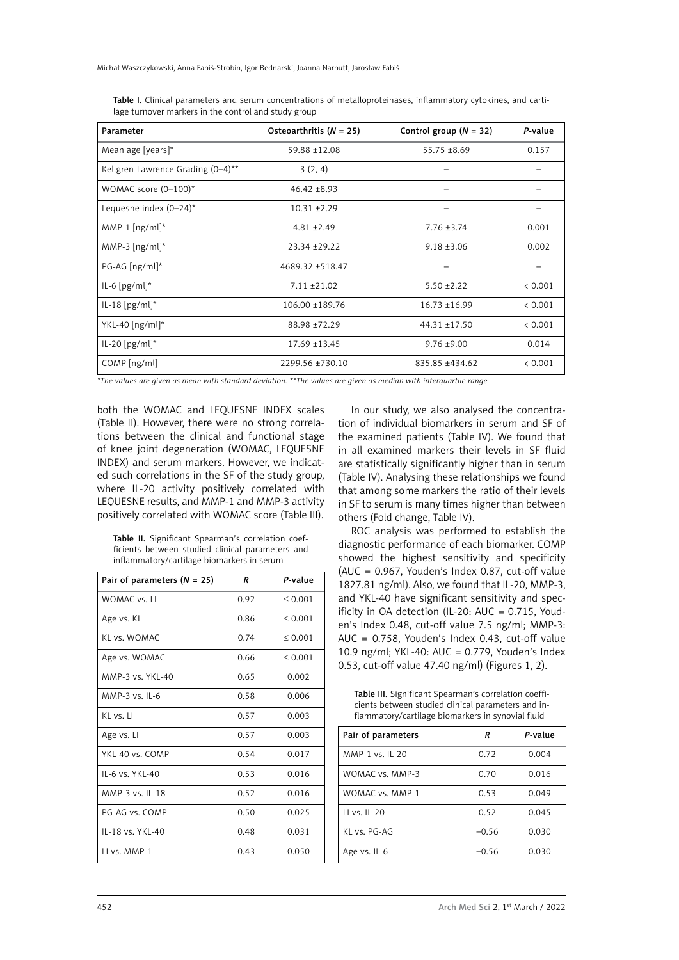Michał Waszczykowski, Anna Fabiś-Strobin, Igor Bednarski, Joanna Narbutt, Jarosław Fabiś

| Parameter                          | Osteoarthritis $(N = 25)$ | Control group $(N = 32)$ | P-value |
|------------------------------------|---------------------------|--------------------------|---------|
| Mean age [years]*                  | 59.88 ±12.08              | $55.75 \pm 8.69$         | 0.157   |
| Kellgren-Lawrence Grading (0-4)**  | 3(2, 4)                   |                          |         |
| WOMAC score $(0-100)^*$            | $46.42 \pm 8.93$          |                          |         |
| Lequesne index $(0-24)^*$          | $10.31 + 2.29$            |                          |         |
| MMP-1 $[ng/ml^*$                   | $4.81 \pm 2.49$           | $7.76 \pm 3.74$          | 0.001   |
| MMP-3 $\left[\frac{ng}{ml}\right]$ | 23.34 ± 29.22             | $9.18 \pm 3.06$          | 0.002   |
| $PG-AG [ng/ml]^*$                  | 4689.32 ±518.47           |                          |         |
| $IL-6 [pg/ml]$                     | $7.11 \pm 21.02$          | $5.50 \pm 2.22$          | < 0.001 |
| $ L-18$ [pg/ml]*                   | 106.00 ±189.76            | $16.73 \pm 16.99$        | < 0.001 |
| $YKL-40$ [ng/ml]*                  | 88.98 ±72.29              | $44.31 \pm 17.50$        | < 0.001 |
| $ L-20$ [pg/ml]*                   | 17.69 ±13.45              | $9.76 \pm 9.00$          | 0.014   |
| $COMP$ [ng/ml]                     | 2299.56 ±730.10           | 835.85 ±434.62           | & 0.001 |

Table I. Clinical parameters and serum concentrations of metalloproteinases, inflammatory cytokines, and cartilage turnover markers in the control and study group

*\*The values are given as mean with standard deviation. \*\*The values are given as median with interquartile range.* 

both the WOMAC and LEQUESNE INDEX scales (Table II). However, there were no strong correlations between the clinical and functional stage of knee joint degeneration (WOMAC, LEQUESNE INDEX) and serum markers. However, we indicated such correlations in the SF of the study group, where IL-20 activity positively correlated with LEQUESNE results, and MMP-1 and MMP-3 activity positively correlated with WOMAC score (Table III).

Table II. Significant Spearman's correlation coefficients between studied clinical parameters and inflammatory/cartilage biomarkers in serum

| Pair of parameters $(N = 25)$ | R    | P-value      |
|-------------------------------|------|--------------|
| WOMAC vs. LI                  | 0.92 | ${}_{0.001}$ |
| Age vs. KL                    | 0.86 | ${}_{0.001}$ |
| KI vs. WOMAC                  | 0.74 | ${}_{0.001}$ |
| Age vs. WOMAC                 | 0.66 | ${}_{0.001}$ |
| MMP-3 vs. YKL-40              | 0.65 | 0.002        |
| $MMP-3$ vs. II -6             | 0.58 | 0.006        |
| KL vs. Ll                     | 0.57 | 0.003        |
| Age vs. Ll                    | 0.57 | 0.003        |
| YKL-40 vs. COMP               | 0.54 | 0.017        |
| II-6 vs. YKI-40               | 0.53 | 0.016        |
| MMP-3 vs. IL-18               | 0.52 | 0.016        |
| PG-AG vs. COMP                | 0.50 | 0.025        |
| IL-18 vs. YKL-40              | 0.48 | 0.031        |
| II vs. MMP-1                  | 0.43 | 0.050        |

In our study, we also analysed the concentration of individual biomarkers in serum and SF of the examined patients (Table IV). We found that in all examined markers their levels in SF fluid are statistically significantly higher than in serum (Table IV). Analysing these relationships we found that among some markers the ratio of their levels in SF to serum is many times higher than between others (Fold change, Table IV).

ROC analysis was performed to establish the diagnostic performance of each biomarker. COMP showed the highest sensitivity and specificity (AUC = 0.967, Youden's Index 0.87, cut-off value 1827.81 ng/ml). Also, we found that IL-20, MMP-3, and YKL-40 have significant sensitivity and specificity in OA detection (IL-20: AUC = 0.715, Youden's Index 0.48, cut-off value 7.5 ng/ml; MMP-3: AUC = 0.758, Youden's Index 0.43, cut-off value 10.9 ng/ml; YKL-40: AUC = 0.779, Youden's Index 0.53, cut-off value 47.40 ng/ml) (Figures 1, 2).

Table III. Significant Spearman's correlation coefficients between studied clinical parameters and inflammatory/cartilage biomarkers in synovial fluid

| Pair of parameters | R       | P-value |
|--------------------|---------|---------|
| MMP-1 vs. IL-20    | 0.72    | 0.004   |
| WOMAC vs. MMP-3    | 0.70    | 0.016   |
| WOMAC vs. MMP-1    | 0.53    | 0.049   |
| LI vs. IL-20       | 0.52    | 0.045   |
| $Kl$ vs. $PG-AG$   | $-0.56$ | 0.030   |
| Age vs. IL-6       | $-0.56$ | 0.030   |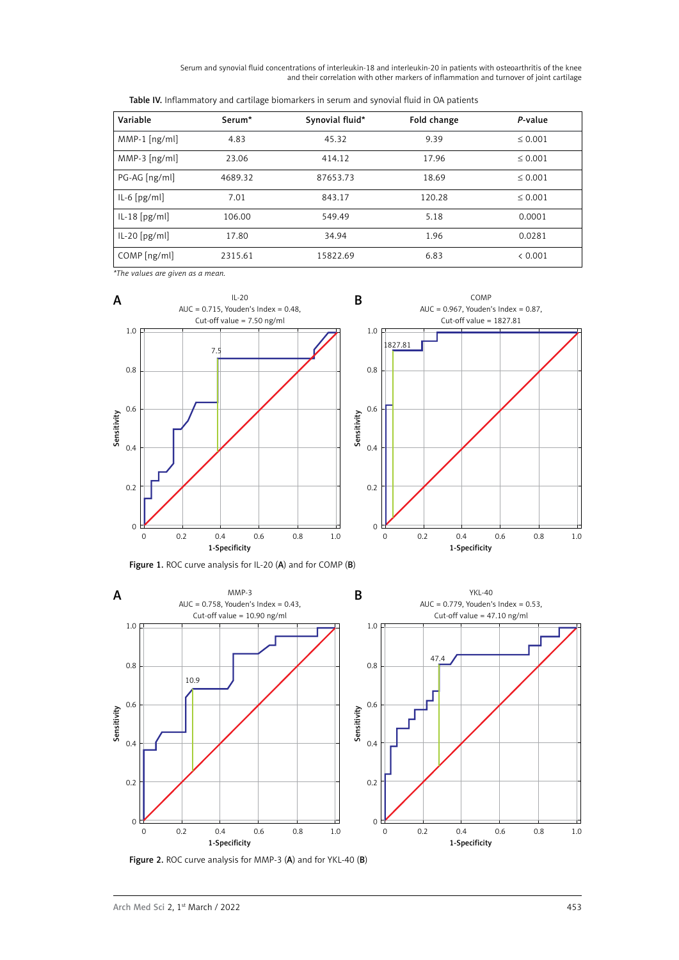Serum and synovial fluid concentrations of interleukin-18 and interleukin-20 in patients with osteoarthritis of the knee and their correlation with other markers of inflammation and turnover of joint cartilage

| Variable        | Serum*  | Synovial fluid* | Fold change | P-value      |
|-----------------|---------|-----------------|-------------|--------------|
| $MMP-1$ [ng/ml] | 4.83    | 45.32           | 9.39        | ${}_{0.001}$ |
| $MMP-3$ [ng/ml] | 23.06   | 414.12          | 17.96       | ${}_{0.001}$ |
| PG-AG [ng/ml]   | 4689.32 | 87653.73        | 18.69       | $\leq 0.001$ |
| $IL-6[pg/ml]$   | 7.01    | 843.17          | 120.28      | ${}_{0.001}$ |
| $ L-18$ [pg/ml] | 106.00  | 549.49          | 5.18        | 0.0001       |
| $ L-20$ [pg/ml] | 17.80   | 34.94           | 1.96        | 0.0281       |
| $COMP$ [ng/ml]  | 2315.61 | 15822.69        | 6.83        | < 0.001      |

Table IV. Inflammatory and cartilage biomarkers in serum and synovial fluid in OA patients

*\*The values are given as a mean.*



Figure 1. ROC curve analysis for IL-20 (A) and for COMP (B)



Figure 2. ROC curve analysis for MMP-3 (A) and for YKL-40 (B)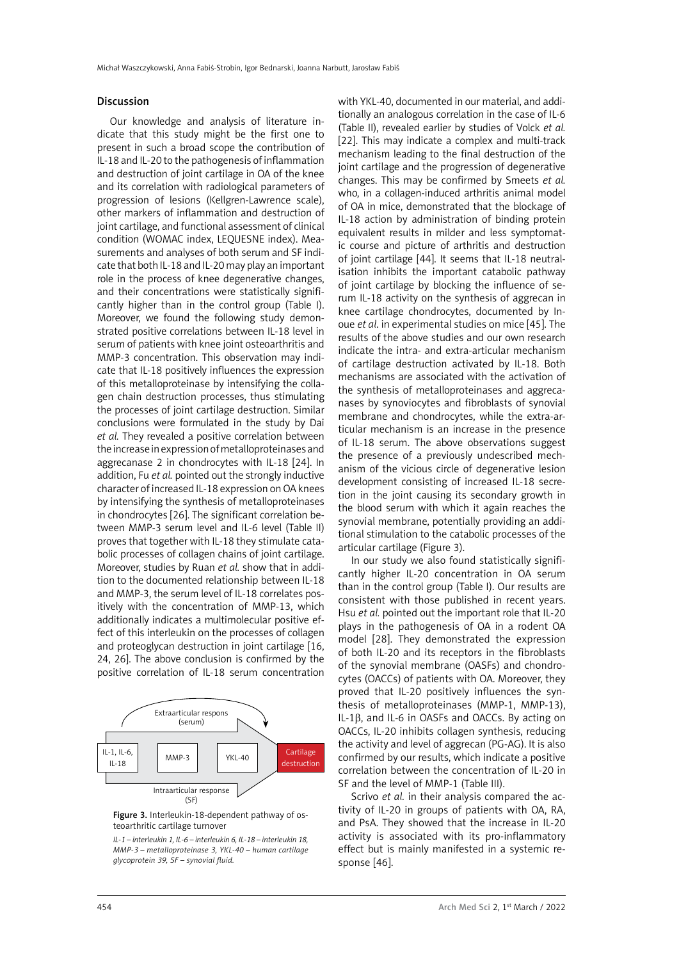#### Discussion

Our knowledge and analysis of literature indicate that this study might be the first one to present in such a broad scope the contribution of IL-18 and IL-20 to the pathogenesis of inflammation and destruction of joint cartilage in OA of the knee and its correlation with radiological parameters of progression of lesions (Kellgren-Lawrence scale), other markers of inflammation and destruction of joint cartilage, and functional assessment of clinical condition (WOMAC index, LEQUESNE index). Measurements and analyses of both serum and SF indicate that both IL-18 and IL-20 may play an important role in the process of knee degenerative changes, and their concentrations were statistically significantly higher than in the control group (Table I). Moreover, we found the following study demonstrated positive correlations between IL-18 level in serum of patients with knee joint osteoarthritis and MMP-3 concentration. This observation may indicate that IL-18 positively influences the expression of this metalloproteinase by intensifying the collagen chain destruction processes, thus stimulating the processes of joint cartilage destruction. Similar conclusions were formulated in the study by Dai *et al.* They revealed a positive correlation between the increase in expression of metalloproteinases and aggrecanase 2 in chondrocytes with IL-18 [24]. In addition, Fu *et al.* pointed out the strongly inductive character of increased IL-18 expression on OA knees by intensifying the synthesis of metalloproteinases in chondrocytes [26]. The significant correlation between MMP-3 serum level and IL-6 level (Table II) proves that together with IL-18 they stimulate catabolic processes of collagen chains of joint cartilage. Moreover, studies by Ruan *et al.* show that in addition to the documented relationship between IL-18 and MMP-3, the serum level of IL-18 correlates positively with the concentration of MMP-13, which additionally indicates a multimolecular positive effect of this interleukin on the processes of collagen and proteoglycan destruction in joint cartilage [16, 24, 26]. The above conclusion is confirmed by the positive correlation of IL-18 serum concentration



Figure 3. Interleukin-18-dependent pathway of osteoarthritic cartilage turnover

*IL-1 – interleukin 1, IL-6 – interleukin 6, IL-18 – interleukin 18, MMP-3 – metalloproteinase 3, YKL-40 – human cartilage glycoprotein 39, SF – synovial fluid.*

with YKL-40, documented in our material, and additionally an analogous correlation in the case of IL-6 (Table II), revealed earlier by studies of Volck *et al.* [22]. This may indicate a complex and multi-track mechanism leading to the final destruction of the joint cartilage and the progression of degenerative changes. This may be confirmed by Smeets *et al.* who, in a collagen-induced arthritis animal model of OA in mice, demonstrated that the blockage of IL-18 action by administration of binding protein equivalent results in milder and less symptomatic course and picture of arthritis and destruction of joint cartilage [44]. It seems that IL-18 neutralisation inhibits the important catabolic pathway of joint cartilage by blocking the influence of serum IL-18 activity on the synthesis of aggrecan in knee cartilage chondrocytes, documented by Inoue *et al*. in experimental studies on mice [45]. The results of the above studies and our own research indicate the intra- and extra-articular mechanism of cartilage destruction activated by IL-18. Both mechanisms are associated with the activation of the synthesis of metalloproteinases and aggrecanases by synoviocytes and fibroblasts of synovial membrane and chondrocytes, while the extra-articular mechanism is an increase in the presence of IL-18 serum. The above observations suggest the presence of a previously undescribed mechanism of the vicious circle of degenerative lesion development consisting of increased IL-18 secretion in the joint causing its secondary growth in the blood serum with which it again reaches the synovial membrane, potentially providing an additional stimulation to the catabolic processes of the articular cartilage (Figure 3).

In our study we also found statistically significantly higher IL-20 concentration in OA serum than in the control group (Table I). Our results are consistent with those published in recent years. Hsu *et al.* pointed out the important role that IL-20 plays in the pathogenesis of OA in a rodent OA model [28]. They demonstrated the expression of both IL-20 and its receptors in the fibroblasts of the synovial membrane (OASFs) and chondrocytes (OACCs) of patients with OA. Moreover, they proved that IL-20 positively influences the synthesis of metalloproteinases (MMP-1, MMP-13), IL-1β, and IL-6 in OASFs and OACCs. By acting on OACCs, IL-20 inhibits collagen synthesis, reducing the activity and level of aggrecan (PG-AG). It is also confirmed by our results, which indicate a positive correlation between the concentration of IL-20 in SF and the level of MMP-1 (Table III).

Scrivo *et al.* in their analysis compared the activity of IL-20 in groups of patients with OA, RA, and PsA. They showed that the increase in IL-20 activity is associated with its pro-inflammatory effect but is mainly manifested in a systemic response [46].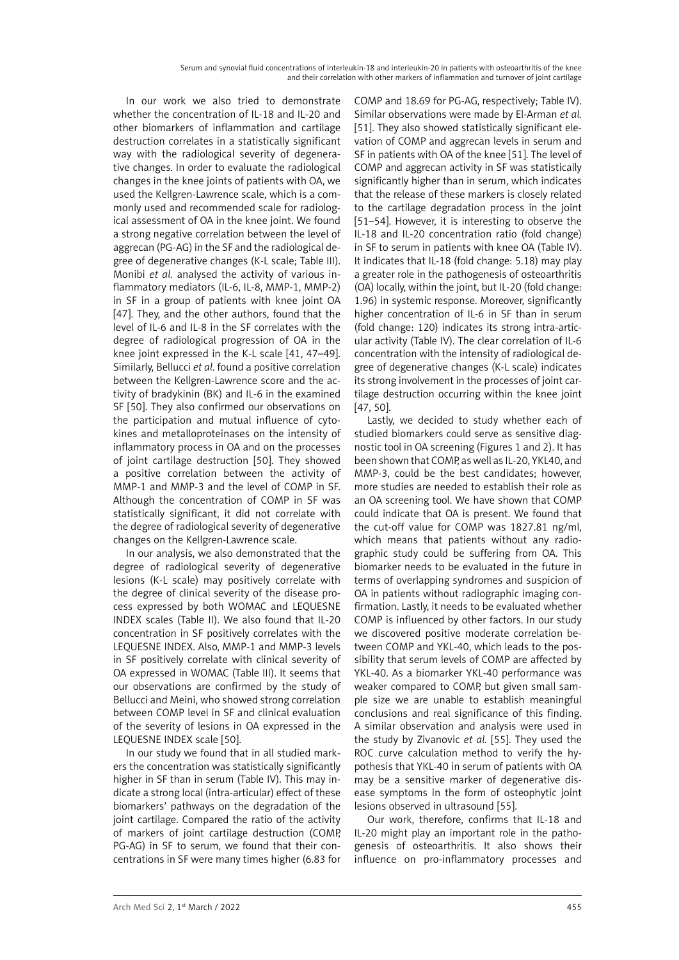In our work we also tried to demonstrate whether the concentration of IL-18 and IL-20 and other biomarkers of inflammation and cartilage destruction correlates in a statistically significant way with the radiological severity of degenerative changes. In order to evaluate the radiological changes in the knee joints of patients with OA, we used the Kellgren-Lawrence scale, which is a commonly used and recommended scale for radiological assessment of OA in the knee joint. We found a strong negative correlation between the level of aggrecan (PG-AG) in the SF and the radiological degree of degenerative changes (K-L scale; Table III). Monibi *et al.* analysed the activity of various inflammatory mediators (IL-6, IL-8, MMP-1, MMP-2) in SF in a group of patients with knee joint OA [47]. They, and the other authors, found that the level of IL-6 and IL-8 in the SF correlates with the degree of radiological progression of OA in the knee joint expressed in the K-L scale [41, 47–49]. Similarly, Bellucci *et al*. found a positive correlation between the Kellgren-Lawrence score and the activity of bradykinin (BK) and IL-6 in the examined SF [50]. They also confirmed our observations on the participation and mutual influence of cytokines and metalloproteinases on the intensity of inflammatory process in OA and on the processes of joint cartilage destruction [50]. They showed a positive correlation between the activity of MMP-1 and MMP-3 and the level of COMP in SF. Although the concentration of COMP in SF was statistically significant, it did not correlate with the degree of radiological severity of degenerative changes on the Kellgren-Lawrence scale.

In our analysis, we also demonstrated that the degree of radiological severity of degenerative lesions (K-L scale) may positively correlate with the degree of clinical severity of the disease process expressed by both WOMAC and LEQUESNE INDEX scales (Table II). We also found that IL-20 concentration in SF positively correlates with the LEQUESNE INDEX. Also, MMP-1 and MMP-3 levels in SF positively correlate with clinical severity of OA expressed in WOMAC (Table III). It seems that our observations are confirmed by the study of Bellucci and Meini, who showed strong correlation between COMP level in SF and clinical evaluation of the severity of lesions in OA expressed in the LEQUESNE INDEX scale [50].

In our study we found that in all studied markers the concentration was statistically significantly higher in SF than in serum (Table IV). This may indicate a strong local (intra-articular) effect of these biomarkers' pathways on the degradation of the joint cartilage. Compared the ratio of the activity of markers of joint cartilage destruction (COMP, PG-AG) in SF to serum, we found that their concentrations in SF were many times higher (6.83 for

COMP and 18.69 for PG-AG, respectively; Table IV). Similar observations were made by El-Arman *et al.* [51]. They also showed statistically significant elevation of COMP and aggrecan levels in serum and SF in patients with OA of the knee [51]. The level of COMP and aggrecan activity in SF was statistically significantly higher than in serum, which indicates that the release of these markers is closely related to the cartilage degradation process in the joint [51–54]. However, it is interesting to observe the IL-18 and IL-20 concentration ratio (fold change) in SF to serum in patients with knee OA (Table IV). It indicates that IL-18 (fold change: 5.18) may play a greater role in the pathogenesis of osteoarthritis (OA) locally, within the joint, but IL-20 (fold change: 1.96) in systemic response. Moreover, significantly higher concentration of IL-6 in SF than in serum (fold change: 120) indicates its strong intra-articular activity (Table IV). The clear correlation of IL-6 concentration with the intensity of radiological degree of degenerative changes (K-L scale) indicates its strong involvement in the processes of joint cartilage destruction occurring within the knee joint [47, 50].

Lastly, we decided to study whether each of studied biomarkers could serve as sensitive diagnostic tool in OA screening (Figures 1 and 2). It has been shown that COMP, as well as IL-20, YKL40, and MMP-3, could be the best candidates; however, more studies are needed to establish their role as an OA screening tool. We have shown that COMP could indicate that OA is present. We found that the cut-off value for COMP was 1827.81 ng/ml, which means that patients without any radiographic study could be suffering from OA. This biomarker needs to be evaluated in the future in terms of overlapping syndromes and suspicion of OA in patients without radiographic imaging confirmation. Lastly, it needs to be evaluated whether COMP is influenced by other factors. In our study we discovered positive moderate correlation between COMP and YKL-40, which leads to the possibility that serum levels of COMP are affected by YKL-40. As a biomarker YKL-40 performance was weaker compared to COMP, but given small sample size we are unable to establish meaningful conclusions and real significance of this finding. A similar observation and analysis were used in the study by Zivanovic *et al.* [55]. They used the ROC curve calculation method to verify the hypothesis that YKL-40 in serum of patients with OA may be a sensitive marker of degenerative disease symptoms in the form of osteophytic joint lesions observed in ultrasound [55].

Our work, therefore, confirms that IL-18 and IL-20 might play an important role in the pathogenesis of osteoarthritis. It also shows their influence on pro-inflammatory processes and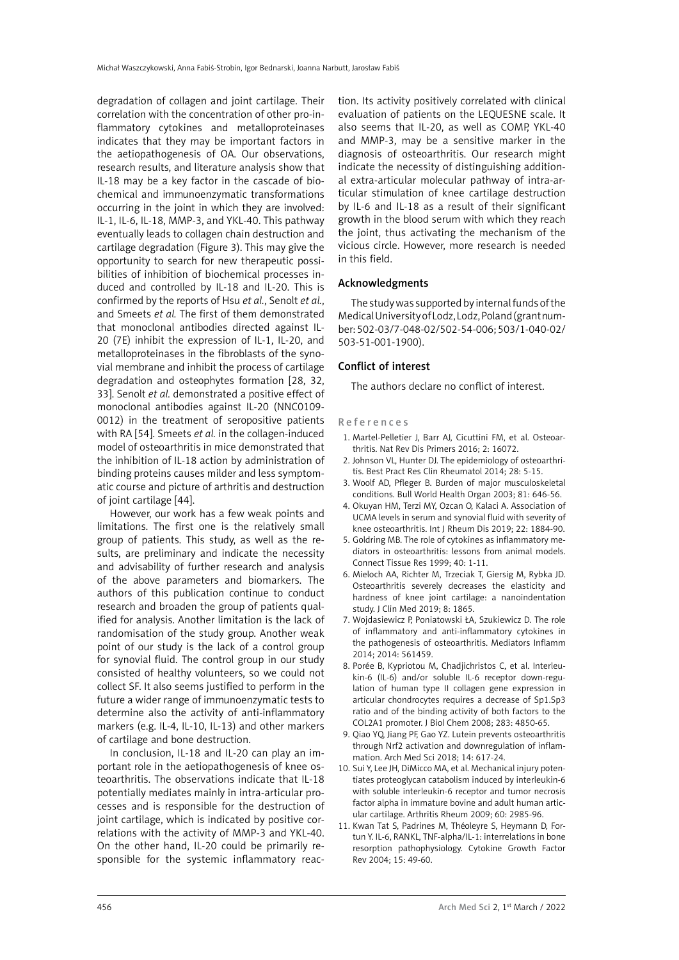degradation of collagen and joint cartilage. Their correlation with the concentration of other pro-inflammatory cytokines and metalloproteinases indicates that they may be important factors in the aetiopathogenesis of OA. Our observations, research results, and literature analysis show that IL-18 may be a key factor in the cascade of biochemical and immunoenzymatic transformations occurring in the joint in which they are involved: IL-1, IL-6, IL-18, MMP-3, and YKL-40. This pathway eventually leads to collagen chain destruction and cartilage degradation (Figure 3). This may give the opportunity to search for new therapeutic possibilities of inhibition of biochemical processes induced and controlled by IL-18 and IL-20. This is confirmed by the reports of Hsu *et al.*, Senolt *et al.*, and Smeets *et al.* The first of them demonstrated that monoclonal antibodies directed against IL-20 (7E) inhibit the expression of IL-1, IL-20, and metalloproteinases in the fibroblasts of the synovial membrane and inhibit the process of cartilage degradation and osteophytes formation [28, 32, 33]. Senolt *et al.* demonstrated a positive effect of monoclonal antibodies against IL-20 (NNC0109- 0012) in the treatment of seropositive patients with RA [54]. Smeets *et al.* in the collagen-induced model of osteoarthritis in mice demonstrated that the inhibition of IL-18 action by administration of binding proteins causes milder and less symptomatic course and picture of arthritis and destruction of joint cartilage [44].

However, our work has a few weak points and limitations. The first one is the relatively small group of patients. This study, as well as the results, are preliminary and indicate the necessity and advisability of further research and analysis of the above parameters and biomarkers. The authors of this publication continue to conduct research and broaden the group of patients qualified for analysis. Another limitation is the lack of randomisation of the study group. Another weak point of our study is the lack of a control group for synovial fluid. The control group in our study consisted of healthy volunteers, so we could not collect SF. It also seems justified to perform in the future a wider range of immunoenzymatic tests to determine also the activity of anti-inflammatory markers (e.g. IL-4, IL-10, IL-13) and other markers of cartilage and bone destruction.

In conclusion, IL-18 and IL-20 can play an important role in the aetiopathogenesis of knee osteoarthritis. The observations indicate that IL-18 potentially mediates mainly in intra-articular processes and is responsible for the destruction of joint cartilage, which is indicated by positive correlations with the activity of MMP-3 and YKL-40. On the other hand, IL-20 could be primarily responsible for the systemic inflammatory reaction. Its activity positively correlated with clinical evaluation of patients on the LEQUESNE scale. It also seems that IL-20, as well as COMP, YKL-40 and MMP-3, may be a sensitive marker in the diagnosis of osteoarthritis. Our research might indicate the necessity of distinguishing additional extra-articular molecular pathway of intra-articular stimulation of knee cartilage destruction by IL-6 and IL-18 as a result of their significant growth in the blood serum with which they reach the joint, thus activating the mechanism of the vicious circle. However, more research is needed in this field.

### Acknowledgments

The study was supported by internal funds of the Medical University of Lodz, Lodz, Poland (grant number: 502-03/7-048-02/502-54-006; 503/1-040-02/ 503-51-001-1900).

## Conflict of interest

The authors declare no conflict of interest.

#### References

- 1. Martel-Pelletier J, Barr AJ, Cicuttini FM, et al. Osteoarthritis. Nat Rev Dis Primers 2016; 2: 16072.
- 2. Johnson VL, Hunter DJ. The epidemiology of osteoarthritis. Best Pract Res Clin Rheumatol 2014; 28: 5-15.
- 3. Woolf AD, Pfleger B. Burden of major musculoskeletal conditions. Bull World Health Organ 2003; 81: 646-56.
- 4. Okuyan HM, Terzi MY, Ozcan O, Kalaci A. [Association of](https://www.ncbi.nlm.nih.gov/pubmed/31424176) [UCMA levels in serum and synovial fluid with severity of](https://www.ncbi.nlm.nih.gov/pubmed/31424176) [knee osteoarthritis.](https://www.ncbi.nlm.nih.gov/pubmed/31424176) Int J Rheum Dis 2019; 22: 1884-90.
- 5. Goldring MB. The role of cytokines as inflammatory mediators in osteoarthritis: lessons from animal models. Connect Tissue Res 1999; 40: 1-11.
- 6. Mieloch AA, Richter M, Trzeciak T, Giersig M, Rybka JD. Osteoarthritis severely decreases the elasticity and hardness of knee joint cartilage: a nanoindentation study. J Clin Med 2019; 8: 1865.
- 7. Wojdasiewicz P, Poniatowski ŁA, Szukiewicz D. [The role](https://www.ncbi.nlm.nih.gov/pubmed/24876674) [of inflammatory and anti-inflammatory cytokines in](https://www.ncbi.nlm.nih.gov/pubmed/24876674) [the pathogenesis of osteoarthritis.](https://www.ncbi.nlm.nih.gov/pubmed/24876674) Mediators Inflamm 2014; 2014: 561459.
- 8. Porée B, Kypriotou M, Chadjichristos C, et al. Interleukin-6 (IL-6) and/or soluble IL-6 receptor down-regulation of human type II collagen gene expression in articular chondrocytes requires a decrease of Sp1.Sp3 ratio and of the binding activity of both factors to the COL2A1 promoter. J Biol Chem 2008; 283: 4850-65.
- 9. Qiao YQ, Jiang PF, Gao YZ. Lutein prevents osteoarthritis through Nrf2 activation and downregulation of inflammation. Arch Med Sci 2018; 14: 617-24.
- 10. Sui Y, Lee JH, DiMicco MA, et al. [Mechanical injury poten](https://www.ncbi.nlm.nih.gov/pubmed/19790045)[tiates proteoglycan catabolism induced by interleukin-6](https://www.ncbi.nlm.nih.gov/pubmed/19790045) [with soluble interleukin-6 receptor and tumor necrosis](https://www.ncbi.nlm.nih.gov/pubmed/19790045) [factor alpha in immature bovine and adult human artic](https://www.ncbi.nlm.nih.gov/pubmed/19790045)[ular cartilage.](https://www.ncbi.nlm.nih.gov/pubmed/19790045) Arthritis Rheum 2009; 60: 2985-96.
- 11. Kwan Tat S, Padrines M, Théoleyre S, Heymann D, Fortun Y. [IL-6, RANKL, TNF-alpha/IL-1: interrelations in bone](https://www.ncbi.nlm.nih.gov/pubmed/14746813) [resorption pathophysiology.](https://www.ncbi.nlm.nih.gov/pubmed/14746813) Cytokine Growth Factor Rev 2004; 15: 49-60.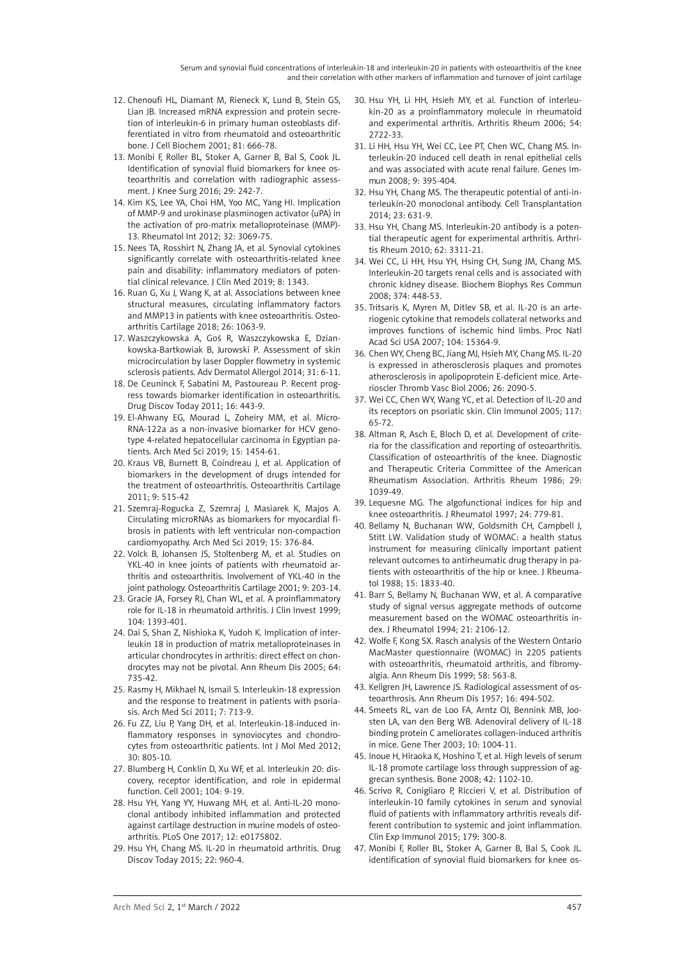Serum and synovial fluid concentrations of interleukin-18 and interleukin-20 in patients with osteoarthritis of the knee and their correlation with other markers of inflammation and turnover of joint cartilage

- 12. Chenoufi HL, Diamant M, Rieneck K, Lund B, Stein GS, Lian JB. [Increased mRNA expression and protein secre](https://www.ncbi.nlm.nih.gov/pubmed/11329621)[tion of interleukin-6 in primary human osteoblasts dif](https://www.ncbi.nlm.nih.gov/pubmed/11329621)[ferentiated in vitro from rheumatoid and osteoarthritic](https://www.ncbi.nlm.nih.gov/pubmed/11329621)  [bone.](https://www.ncbi.nlm.nih.gov/pubmed/11329621) J Cell Biochem 2001; 81: 666-78.
- 13. Monibi F, Roller BL, Stoker A, Garner B, Bal S, Cook JL. Identification of synovial fluid biomarkers for knee osteoarthritis and correlation with radiographic assessment. J Knee Surg 2016; 29: 242-7.
- 14. Kim KS, Lee YA, Choi HM, Yoo MC, Yang HI. Implication of MMP-9 and urokinase plasminogen activator (uPA) in the activation of pro-matrix metalloproteinase (MMP)- 13. Rheumatol Int 2012; 32: 3069-75.
- 15. Nees TA, Rosshirt N, Zhang JA, et al. Synovial cytokines significantly correlate with osteoarthritis-related knee pain and disability: inflammatory mediators of potential clinical relevance. J Clin Med 2019; 8: 1343.
- 16. Ruan G, Xu J, Wang K, at al. [Associations between knee](https://www.ncbi.nlm.nih.gov/pubmed/29753949)  [structural measures, circulating inflammatory factors](https://www.ncbi.nlm.nih.gov/pubmed/29753949)  [and MMP13 in patients with knee osteoarthritis.](https://www.ncbi.nlm.nih.gov/pubmed/29753949) Osteoarthritis Cartilage 2018; 26: 1063-9.
- 17. Waszczykowska A, Goś R, Waszczykowska E, Dziankowska-Bartkowiak B, Jurowski P. Assessment of skin microcirculation by laser Doppler flowmetry in systemic sclerosis patients. Adv Dermatol Allergol 2014; 31: 6-11.
- 18. De Ceuninck F, Sabatini M, Pastoureau P. Recent progress towards biomarker identification in osteoarthritis. Drug Discov Today 2011; 16: 443-9.
- 19. El-Ahwany EG, Mourad L, Zoheiry MM, et al. Micro-RNA-122a as a non-invasive biomarker for HCV genotype 4-related hepatocellular carcinoma in Egyptian patients. Arch Med Sci 2019; 15: 1454-61.
- 20. Kraus VB, Burnett B, Coindreau J, et al. Application of biomarkers in the development of drugs intended for the treatment of osteoarthritis. Osteoarthritis Cartilage 2011; 9: 515-42
- 21. Szemraj-Rogucka Z, Szemraj J, Masiarek K, Majos A. Circulating microRNAs as biomarkers for myocardial fibrosis in patients with left ventricular non-compaction cardiomyopathy. Arch Med Sci 2019; 15: 376-84.
- 22. Volck B, Johansen JS, Stoltenberg M, et al. Studies on YKL-40 in knee joints of patients with rheumatoid arthritis and osteoarthritis. Involvement of YKL-40 in the joint pathology. Osteoarthritis Cartilage 2001; 9: 203-14.
- 23. Gracie JA, Forsey RJ, Chan WL, et al. A proinflammatory role for IL-18 in rheumatoid arthritis. J Clin Invest 1999; 104: 1393-401.
- 24. Dai S, Shan Z, Nishioka K, Yudoh K. Implication of interleukin 18 in production of matrix metalloproteinases in articular chondrocytes in arthritis: direct effect on chondrocytes may not be pivotal. Ann Rheum Dis 2005; 64: 735-42.
- 25. Rasmy H, Mikhael N, Ismail S. Interleukin-18 expression and the response to treatment in patients with psoriasis. Arch Med Sci 2011; 7: 713-9.
- 26. Fu ZZ, Liu P, Yang DH, et al. Interleukin-18-induced inflammatory responses in synoviocytes and chondrocytes from osteoarthritic patients. Int J Mol Med 2012; 30: 805-10.
- 27. Blumberg H, Conklin D, Xu WF, et al. Interleukin 20: discovery, receptor identification, and role in epidermal function. Cell 2001; 104: 9-19.
- 28. Hsu YH, Yang YY, Huwang MH, et al. [Anti-IL-20 mono](https://www.ncbi.nlm.nih.gov/pubmed/28426699)[clonal antibody inhibited inflammation and protected](https://www.ncbi.nlm.nih.gov/pubmed/28426699)  [against cartilage destruction in murine models of osteo](https://www.ncbi.nlm.nih.gov/pubmed/28426699)[arthritis.](https://www.ncbi.nlm.nih.gov/pubmed/28426699) PLoS One 2017; 12: e0175802.
- 29. Hsu YH, Chang MS. IL-20 in rheumatoid arthritis. Drug Discov Today 2015; 22: 960-4.
- 30. Hsu YH, Li HH, Hsieh MY, et al. Function of interleukin-20 as a proinflammatory molecule in rheumatoid and experimental arthritis. Arthritis Rheum 2006; 54: 2722-33.
- 31. Li HH, Hsu YH, Wei CC, Lee PT, Chen WC, Chang MS. Interleukin-20 induced cell death in renal epithelial cells and was associated with acute renal failure. Genes Immun 2008; 9: 395-404.
- 32. Hsu YH, Chang MS. The therapeutic potential of anti-interleukin-20 monoclonal antibody. Cell Transplantation 2014; 23: 631-9.
- 33. Hsu YH, Chang MS. Interleukin-20 antibody is a potential therapeutic agent for experimental arthritis. Arthritis Rheum 2010; 62: 3311-21.
- 34. Wei CC, Li HH, Hsu YH, Hsing CH, Sung JM, Chang MS. Interleukin-20 targets renal cells and is associated with chronic kidney disease. Biochem Biophys Res Commun 2008; 374: 448-53.
- 35. Tritsaris K, Myren M, Ditlev SB, et al. IL-20 is an arteriogenic cytokine that remodels collateral networks and improves functions of ischemic hind limbs. Proc Natl Acad Sci USA 2007; 104: 15364-9.
- 36. Chen WY, Cheng BC, Jiang MJ, Hsieh MY, Chang MS. IL-20 is expressed in atherosclerosis plaques and promotes atherosclerosis in apolipoprotein E-deficient mice. Arterioscler Thromb Vasc Biol 2006; 26: 2090-5.
- 37. Wei CC, Chen WY, Wang YC, et al. Detection of IL-20 and its receptors on psoriatic skin. Clin Immunol 2005; 117: 65-72.
- 38. Altman R, Asch E, Bloch D, et al. Development of criteria for the classification and reporting of osteoarthritis. Classification of osteoarthritis of the knee. Diagnostic and Therapeutic Criteria Committee of the American Rheumatism Association. Arthritis Rheum 1986; 29: 1039-49.
- 39. Lequesne MG. The algofunctional indices for hip and knee osteoarthritis. J Rheumatol 1997; 24: 779-81.
- 40. Bellamy N, Buchanan WW, Goldsmith CH, Campbell J, Stitt LW. Validation study of WOMAC: a health status instrument for measuring clinically important patient relevant outcomes to antirheumatic drug therapy in patients with osteoarthritis of the hip or knee. J Rheumatol 1988; 15: 1833-40.
- 41. Barr S, Bellamy N, Buchanan WW, et al. A comparative study of signal versus aggregate methods of outcome measurement based on the WOMAC osteoarthritis index. J Rheumatol 1994; 21: 2106-12.
- 42. Wolfe F, Kong SX. [Rasch analysis of the Western Ontario](https://www.ncbi.nlm.nih.gov/pubmed/10460190) [MacMaster questionnaire \(WOMAC\) in 2205 patients](https://www.ncbi.nlm.nih.gov/pubmed/10460190) [with osteoarthritis, rheumatoid arthritis, and fibromy](https://www.ncbi.nlm.nih.gov/pubmed/10460190)[algia.](https://www.ncbi.nlm.nih.gov/pubmed/10460190) Ann Rheum Dis 1999; 58: 563-8.
- 43. Kellgren JH, Lawrence JS. Radiological assessment of osteoarthrosis. Ann Rheum Dis 1957; 16: 494-502.
- 44. Smeets RL, van de Loo FA, Arntz OJ, Bennink MB, Joosten LA, van den Berg WB. Adenoviral delivery of IL-18 binding protein C ameliorates collagen-induced arthritis in mice. Gene Ther 2003; 10: 1004-11.
- 45. Inoue H, Hiraoka K, Hoshino T, et al. High levels of serum IL-18 promote cartilage loss through suppression of aggrecan synthesis. Bone 2008; 42: 1102-10.
- 46. Scrivo R, [Conigliaro P,](https://www.ncbi.nlm.nih.gov/pubmed/?term=Conigliaro P%5BAuthor%5D&cauthor=true&cauthor_uid=25178435) [Riccieri V](https://www.ncbi.nlm.nih.gov/pubmed/?term=Riccieri V%5BAuthor%5D&cauthor=true&cauthor_uid=25178435), et al. Distribution of interleukin-10 family cytokines in serum and synovial fluid of patients with inflammatory arthritis reveals different contribution to systemic and joint inflammation. Clin Exp Immunol 2015; 179: 300-8.
- 47. Monibi F, Roller BL, Stoker A, Garner B, Bal S, Cook JL. [identification of synovial fluid biomarkers for knee os-](https://www.ncbi.nlm.nih.gov/pubmed/25927354)